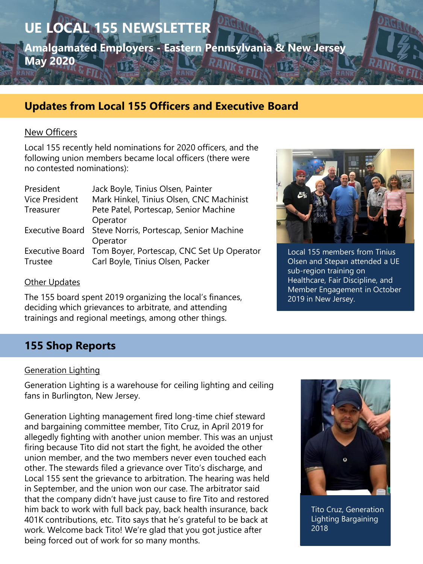**UE LOCAL 155 NEWSLETTER Amalgamated Employers - Eastern Pennsylvania & New Jersey May 2020**

# **Updates from Local 155 Officers and Executive Board**

### New Officers

Local 155 recently held nominations for 2020 officers, and the following union members became local officers (there were no contested nominations):

| President             | Jack Boyle, Tinius Olsen, Painter                         |
|-----------------------|-----------------------------------------------------------|
| <b>Vice President</b> | Mark Hinkel, Tinius Olsen, CNC Machinist                  |
| Treasurer             | Pete Patel, Portescap, Senior Machine                     |
|                       | Operator                                                  |
|                       | Executive Board Steve Norris, Portescap, Senior Machine   |
|                       | Operator                                                  |
|                       | Executive Board Tom Boyer, Portescap, CNC Set Up Operator |
| Trustee               | Carl Boyle, Tinius Olsen, Packer                          |

#### **Other Updates**

The 155 board spent 2019 organizing the local's finances, deciding which grievances to arbitrate, and attending trainings and regional meetings, among other things.



Local 155 members from Tinius Olsen and Stepan attended a UE sub-region training on Healthcare, Fair Discipline, and Member Engagement in October 2019 in New Jersey.

# **155 Shop Reports**

#### Generation Lighting

Generation Lighting is a warehouse for ceiling lighting and ceiling fans in Burlington, New Jersey.

Generation Lighting management fired long-time chief steward and bargaining committee member, Tito Cruz, in April 2019 for allegedly fighting with another union member. This was an unjust firing because Tito did not start the fight, he avoided the other union member, and the two members never even touched each other. The stewards filed a grievance over Tito's discharge, and Local 155 sent the grievance to arbitration. The hearing was held in September, and the union won our case. The arbitrator said that the company didn't have just cause to fire Tito and restored him back to work with full back pay, back health insurance, back 401K contributions, etc. Tito says that he's grateful to be back at work. Welcome back Tito! We're glad that you got justice after being forced out of work for so many months.



Tito Cruz, Generation Lighting Bargaining  $2018$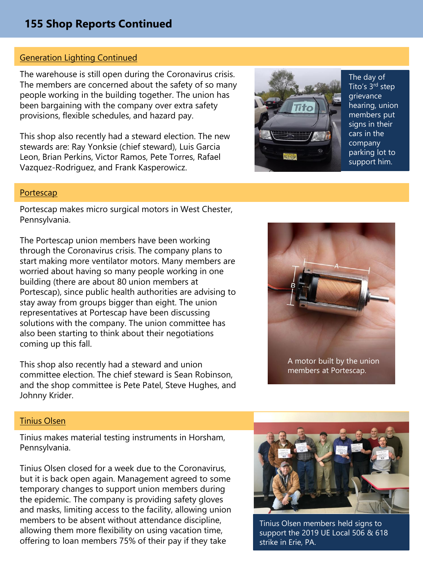## **155 Shop Reports Continued**

## Generation Lighting Continued

The warehouse is still open during the Coronavirus crisis. The members are concerned about the safety of so many people working in the building together. The union has been bargaining with the company over extra safety provisions, flexible schedules, and hazard pay.

This shop also recently had a steward election. The new stewards are: Ray Yonksie (chief steward), Luis Garcia Leon, Brian Perkins, Victor Ramos, Pete Torres, Rafael Vazquez-Rodriguez, and Frank Kasperowicz.



The day of Tito's 3<sup>rd</sup> step grievance hearing, union members put signs in their cars in the company parking lot to support him.

#### Portescap

Portescap makes micro surgical motors in West Chester, Pennsylvania.

The Portescap union members have been working through the Coronavirus crisis. The company plans to start making more ventilator motors. Many members are worried about having so many people working in one building (there are about 80 union members at Portescap), since public health authorities are advising to stay away from groups bigger than eight. The union representatives at Portescap have been discussing solutions with the company. The union committee has also been starting to think about their negotiations coming up this fall.

This shop also recently had a steward and union committee election. The chief steward is Sean Robinson, and the shop committee is Pete Patel, Steve Hughes, and Johnny Krider.



members at Portescap.

#### Tinius Olsen

Tinius makes material testing instruments in Horsham, Pennsylvania.

Tinius Olsen closed for a week due to the Coronavirus, but it is back open again. Management agreed to some temporary changes to support union members during the epidemic. The company is providing safety gloves and masks, limiting access to the facility, allowing union members to be absent without attendance discipline, allowing them more flexibility on using vacation time, offering to loan members 75% of their pay if they take



Tinius Olsen members held signs to support the 2019 UE Local 506 & 618 strike in Erie, PA.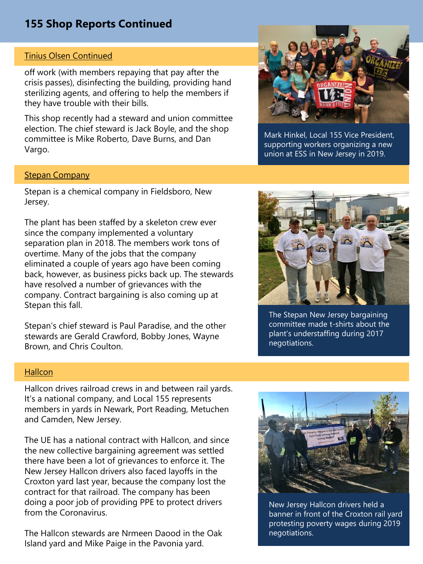# **155 Shop Reports Continued**

#### Tinius Olsen Continued

off work (with members repaying that pay after the crisis passes), disinfecting the building, providing hand sterilizing agents, and offering to help the members if they have trouble with their bills.

This shop recently had a steward and union committee election. The chief steward is Jack Boyle, and the shop committee is Mike Roberto, Dave Burns, and Dan Vargo.



Mark Hinkel, Local 155 Vice President, supporting workers organizing a new union at ESS in New Jersey in 2019.

#### Stepan Company

Stepan is a chemical company in Fieldsboro, New Jersey.

The plant has been staffed by a skeleton crew ever since the company implemented a voluntary separation plan in 2018. The members work tons of overtime. Many of the jobs that the company eliminated a couple of years ago have been coming back, however, as business picks back up. The stewards have resolved a number of grievances with the company. Contract bargaining is also coming up at Stepan this fall.

Stepan's chief steward is Paul Paradise, and the other stewards are Gerald Crawford, Bobby Jones, Wayne Brown, and Chris Coulton.



The Stepan New Jersey bargaining committee made t-shirts about the plant's understaffing during 2017 negotiations.

#### **Hallcon**

Hallcon drives railroad crews in and between rail yards. It's a national company, and Local 155 represents members in yards in Newark, Port Reading, Metuchen and Camden, New Jersey.

The UE has a national contract with Hallcon, and since the new collective bargaining agreement was settled there have been a lot of grievances to enforce it. The New Jersey Hallcon drivers also faced layoffs in the Croxton yard last year, because the company lost the contract for that railroad. The company has been doing a poor job of providing PPE to protect drivers from the Coronavirus.

The Hallcon stewards are Nrmeen Daood in the Oak Island yard and Mike Paige in the Pavonia yard.



New Jersey Hallcon drivers held a banner in front of the Croxton rail yard protesting poverty wages during 2019 negotiations.